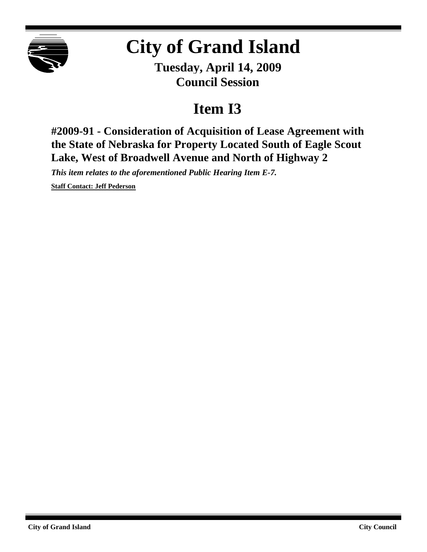

## **City of Grand Island**

**Tuesday, April 14, 2009 Council Session**

## **Item I3**

**#2009-91 - Consideration of Acquisition of Lease Agreement with the State of Nebraska for Property Located South of Eagle Scout Lake, West of Broadwell Avenue and North of Highway 2**

*This item relates to the aforementioned Public Hearing Item E-7.*

**Staff Contact: Jeff Pederson**